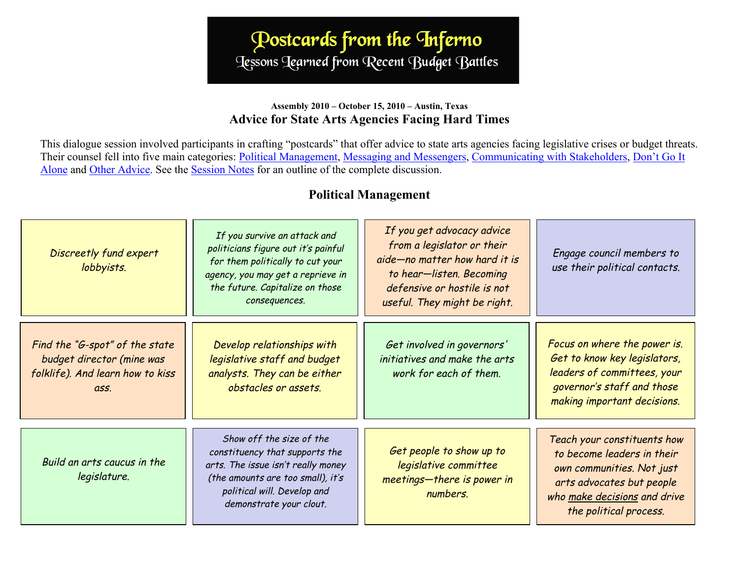# Postcards from the Inferno Jessons Tearned from Recent Budget Battles

#### **Assembly 2010 – October 15, 2010 – Austin, Texas Advice for State Arts Agencies Facing Hard Times**

This dialogue session involved participants in crafting "postcards" that offer advice to state arts agencies facing legislative crises or budget threats. Their counsel fell into five main categories: Political Management, [Messaging and Messengers, Communicating with Stakeholders,](#page-1-0) [Don't Go It](#page-2-0) [Alone](#page-2-0) and [Other Advice.](#page-2-0) See the [Session Notes](http://www.nasaa-arts.org/Learning-Services/Past-Meetings/Assembly-2010-Proceedings/Postcards-from-the-Inferno.pdf) for an outline of the complete discussion.

### **Political Management**

| Discreetly fund expert<br>lobbyists.                                                                    | If you survive an attack and<br>politicians figure out it's painful<br>for them politically to cut your<br>agency, you may get a reprieve in<br>the future. Capitalize on those<br>consequences. | If you get advocacy advice<br>from a legislator or their<br>aide-no matter how hard it is<br>to hear-listen. Becoming<br>defensive or hostile is not<br>useful. They might be right. | Engage council members to<br>use their political contacts.                                                                                                                    |
|---------------------------------------------------------------------------------------------------------|--------------------------------------------------------------------------------------------------------------------------------------------------------------------------------------------------|--------------------------------------------------------------------------------------------------------------------------------------------------------------------------------------|-------------------------------------------------------------------------------------------------------------------------------------------------------------------------------|
| Find the "G-spot" of the state<br>budget director (mine was<br>folklife). And learn how to kiss<br>ass. | Develop relationships with<br>legislative staff and budget<br>analysts. They can be either<br>obstacles or assets.                                                                               | Get involved in governors'<br>initiatives and make the arts<br>work for each of them.                                                                                                | Focus on where the power is.<br>Get to know key legislators,<br>leaders of committees, your<br>governor's staff and those<br>making important decisions.                      |
| Build an arts caucus in the<br>legislature.                                                             | Show off the size of the<br>constituency that supports the<br>arts. The issue isn't really money<br>(the amounts are too small), it's<br>political will. Develop and<br>demonstrate your clout.  | Get people to show up to<br>legislative committee<br>meetings-there is power in<br>numbers.                                                                                          | Teach your constituents how<br>to become leaders in their<br>own communities. Not just<br>arts advocates but people<br>who make decisions and drive<br>the political process. |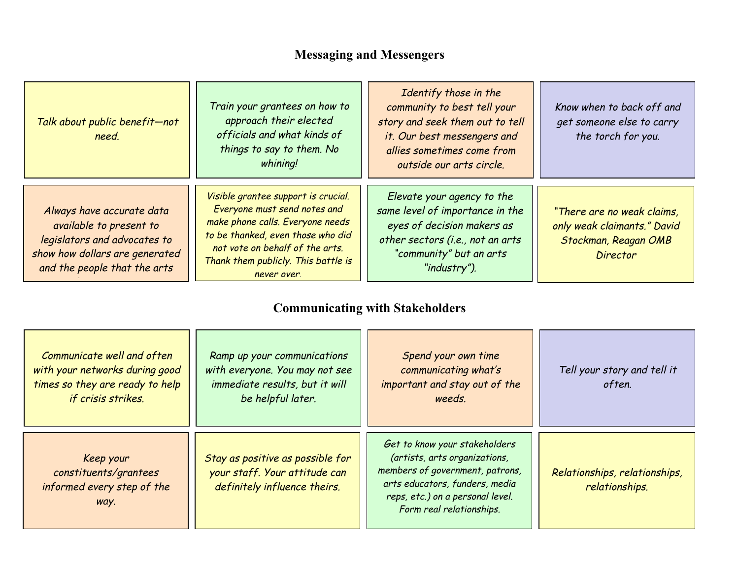## **Messaging and Messengers**

<span id="page-1-0"></span>

| Talk about public benefit-not<br>need.                                                                                                                 | Train your grantees on how to<br>approach their elected<br>officials and what kinds of<br>things to say to them. No<br>whining!                                                                                                       | Identify those in the<br>community to best tell your<br>story and seek them out to tell<br>it. Our best messengers and<br>allies sometimes come from<br>outside our arts circle. | Know when to back off and<br>get someone else to carry<br>the torch for you.                         |
|--------------------------------------------------------------------------------------------------------------------------------------------------------|---------------------------------------------------------------------------------------------------------------------------------------------------------------------------------------------------------------------------------------|----------------------------------------------------------------------------------------------------------------------------------------------------------------------------------|------------------------------------------------------------------------------------------------------|
| Always have accurate data<br>available to present to<br>legislators and advocates to<br>show how dollars are generated<br>and the people that the arts | Visible grantee support is crucial.<br>Everyone must send notes and<br>make phone calls. Everyone needs<br>to be thanked, even those who did<br>not vote on behalf of the arts.<br>Thank them publicly. This battle is<br>never over. | Elevate your agency to the<br>same level of importance in the<br>eyes of decision makers as<br>other sectors (i.e., not an arts<br>"community" but an arts<br>"industry").       | "There are no weak claims,<br>only weak claimants." David<br>Stockman, Reagan OMB<br><b>Director</b> |

### **Communicating with Stakeholders**

| Communicate well and often<br>with your networks during good<br>times so they are ready to help<br>if crisis strikes. | Ramp up your communications<br>with everyone. You may not see<br>immediate results, but it will<br>be helpful later. | Spend your own time<br>communicating what's<br>important and stay out of the<br>weeds.                                                                                                              | Tell your story and tell it<br>often.           |
|-----------------------------------------------------------------------------------------------------------------------|----------------------------------------------------------------------------------------------------------------------|-----------------------------------------------------------------------------------------------------------------------------------------------------------------------------------------------------|-------------------------------------------------|
| Keep your<br>constituents/grantees<br>informed every step of the<br>way.                                              | Stay as positive as possible for<br>your staff. Your attitude can<br>definitely influence theirs.                    | Get to know your stakeholders<br>(artists, arts organizations,<br>members of government, patrons,<br>arts educators, funders, media<br>reps, etc.) on a personal level.<br>Form real relationships. | Relationships, relationships,<br>relationships. |